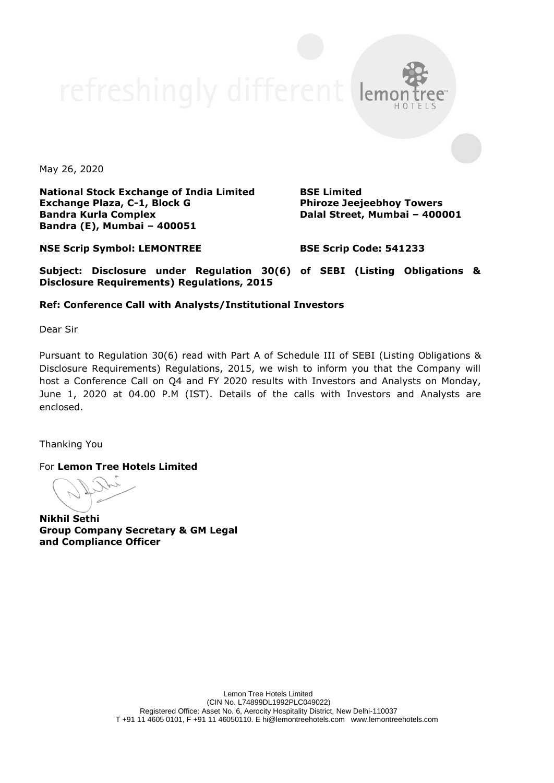May 26, 2020

**National Stock Exchange of India Limited Exchange Plaza, C-1, Block G Bandra Kurla Complex Bandra (E), Mumbai – 400051**

**BSE Limited Phiroze Jeejeebhoy Towers Dalal Street, Mumbai – 400001**

**NSE Scrip Symbol: LEMONTREE**

**BSE Scrip Code: 541233**

**Subject: Disclosure under Regulation 30(6) of SEBI (Listing Obligations & Disclosure Requirements) Regulations, 2015**

## **Ref: Conference Call with Analysts/Institutional Investors**

Dear Sir

Pursuant to Regulation 30(6) read with Part A of Schedule III of SEBI (Listing Obligations & Disclosure Requirements) Regulations, 2015, we wish to inform you that the Company will host a Conference Call on Q4 and FY 2020 results with Investors and Analysts on Monday, June 1, 2020 at 04.00 P.M (IST). Details of the calls with Investors and Analysts are enclosed.

Thanking You

For **Lemon Tree Hotels Limited**

**Nikhil Sethi Group Company Secretary & GM Legal and Compliance Officer**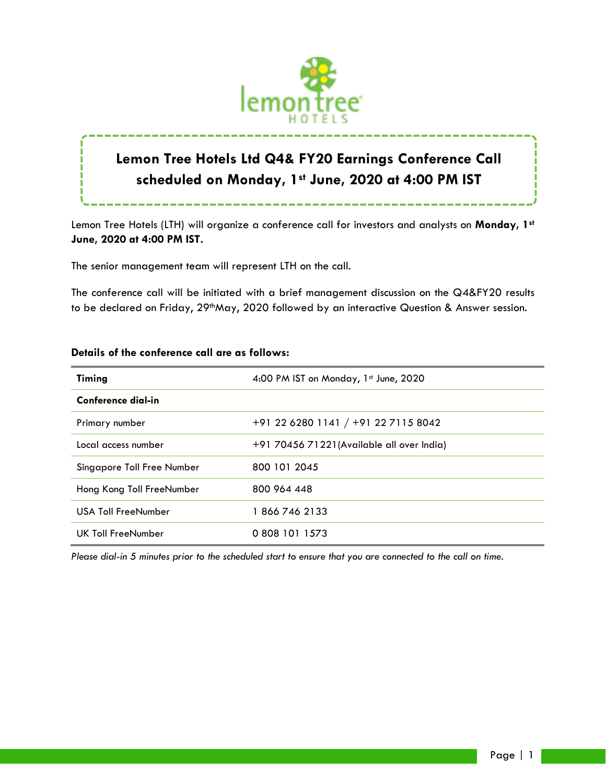

# **Lemon Tree Hotels Ltd Q4& FY20 Earnings Conference Call scheduled on Monday, 1st June, 2020 at 4:00 PM IST**

Lemon Tree Hotels (LTH) will organize a conference call for investors and analysts on **Monday, 1st**

**June, 2020 at 4:00 PM IST.**

The senior management team will represent LTH on the call.

The conference call will be initiated with a brief management discussion on the Q4&FY20 results to be declared on Friday, 29<sup>th</sup>May, 2020 followed by an interactive Question & Answer session.

| Timing                     | 4:00 PM IST on Monday, 1st June, 2020      |
|----------------------------|--------------------------------------------|
| <b>Conference dial-in</b>  |                                            |
| Primary number             | $+91$ 22 6280 1141 / $+91$ 22 7115 8042    |
| Local access number        | +91 70456 71221 (Available all over India) |
| Singapore Toll Free Number | 800 101 2045                               |
| Hong Kong Toll FreeNumber  | 800 964 448                                |
| <b>USA Toll FreeNumber</b> | 18667462133                                |
| UK Toll FreeNumber         | 0 808 101 1573                             |

## **Details of the conference call are as follows:**

*Please dial-in 5 minutes prior to the scheduled start to ensure that you are connected to the call on time.*